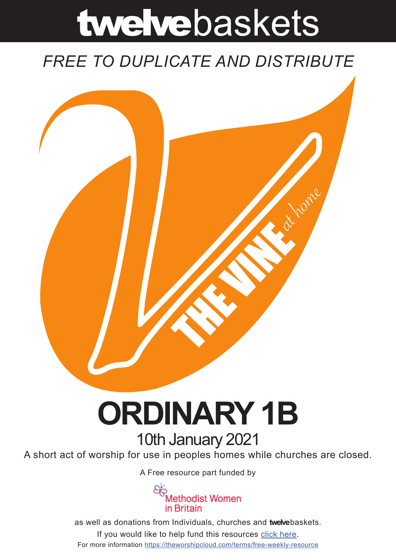# twelvebaskets

### *FREE TO DUPLICATE AND DISTRIBUTE*



## **ORDINARY 1B** 10th January 2021

A short act of worship for use in peoples homes while churches are closed.

A Free resource part funded by



as well as donations from Individuals, churches and **twelve**baskets. If you would like to help fund this resources click here. For more information https://theworshipcloud.com/terms/free-weekly-resource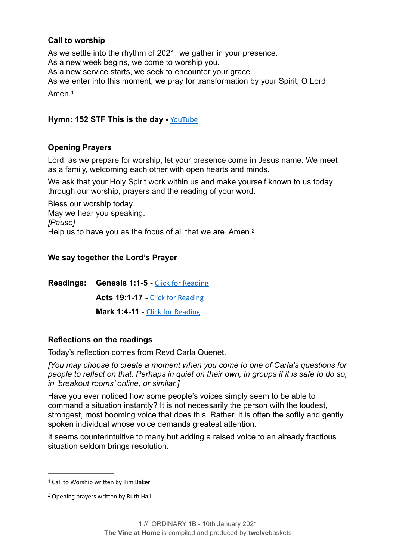#### **Call to worship**

As we settle into the rhythm of 2021, we gather in your presence. As a new week begins, we come to worship you. As a new service starts, we seek to encounter your grace. As we enter into this moment, we pray for transformation by your Spirit, O Lord. Amen<sup>[1](#page-1-0)</sup>

#### <span id="page-1-2"></span>**Hymn: 152 STF This is the day -** [YouTube](https://www.youtube.com/watch?v=GuVZOzUx0No)

#### **Opening Prayers**

Lord, as we prepare for worship, let your presence come in Jesus name. We meet as a family, welcoming each other with open hearts and minds.

We ask that your Holy Spirit work within us and make yourself known to us today through our worship, prayers and the reading of your word.

Bless our worship today. May we hear you speaking. *[Pause]* Help us to have you as the focus of all that we are. Amen.<sup>2</sup>

#### <span id="page-1-3"></span>**We say together the Lord's Prayer**

**Readings: Genesis 1:1-5 -** [Click for Reading](https://www.biblegateway.com/passage/?search=Genesis+1:1-5&version=NRSV) **Acts 19:1-17 -** [Click for Reading](https://www.biblegateway.com/passage/?search=Acts+19:1-17&version=NRSV) **Mark 1:4-11 -** [Click for Reading](https://www.biblegateway.com/passage/?search=Mark+1:4-11+&version=NRSV)

#### **Reflections on the readings**

Today's reflection comes from Revd Carla Quenet.

*[You may choose to create a moment when you come to one of Carla's questions for people to reflect on that. Perhaps in quiet on their own, in groups if it is safe to do so, in 'breakout rooms' online, or similar.]* 

Have you ever noticed how some people's voices simply seem to be able to command a situation instantly? It is not necessarily the person with the loudest, strongest, most booming voice that does this. Rather, it is often the softly and gently spoken individual whose voice demands greatest attention.

It seems counterintuitive to many but adding a raised voice to an already fractious situation seldom brings resolution.

<span id="page-1-0"></span><sup>&</sup>lt;sup>[1](#page-1-2)</sup> Call to Worship written by Tim Baker

<span id="page-1-1"></span>Opening prayers written by Ruth Hall [2](#page-1-3)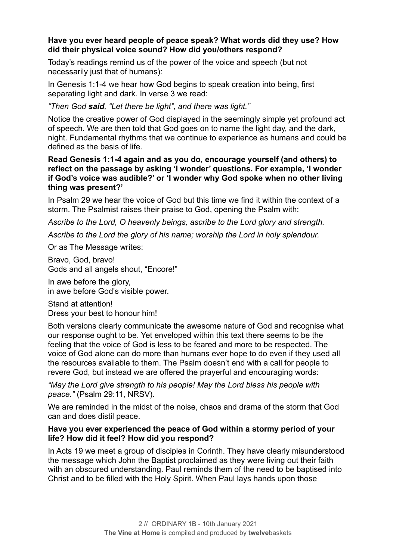#### **Have you ever heard people of peace speak? What words did they use? How did their physical voice sound? How did you/others respond?**

Today's readings remind us of the power of the voice and speech (but not necessarily just that of humans):

In Genesis 1:1-4 we hear how God begins to speak creation into being, first separating light and dark. In verse 3 we read:

*"Then God said, "Let there be light", and there was light."* 

Notice the creative power of God displayed in the seemingly simple yet profound act of speech. We are then told that God goes on to name the light day, and the dark, night. Fundamental rhythms that we continue to experience as humans and could be defined as the basis of life.

#### **Read Genesis 1:1-4 again and as you do, encourage yourself (and others) to reflect on the passage by asking 'I wonder' questions. For example, 'I wonder if God's voice was audible?' or 'I wonder why God spoke when no other living thing was present?'**

In Psalm 29 we hear the voice of God but this time we find it within the context of a storm. The Psalmist raises their praise to God, opening the Psalm with:

*Ascribe to the Lord, O heavenly beings, ascribe to the Lord glory and strength.* 

*Ascribe to the Lord the glory of his name; worship the Lord in holy splendour.* 

Or as The Message writes:

Bravo, God, bravo! Gods and all angels shout, "Encore!"

In awe before the glory, in awe before God's visible power.

Stand at attention! Dress your best to honour him!

Both versions clearly communicate the awesome nature of God and recognise what our response ought to be. Yet enveloped within this text there seems to be the feeling that the voice of God is less to be feared and more to be respected. The voice of God alone can do more than humans ever hope to do even if they used all the resources available to them. The Psalm doesn't end with a call for people to revere God, but instead we are offered the prayerful and encouraging words:

*"May the Lord give strength to his people! May the Lord bless his people with peace."* (Psalm 29:11, NRSV).

We are reminded in the midst of the noise, chaos and drama of the storm that God can and does distil peace.

#### **Have you ever experienced the peace of God within a stormy period of your life? How did it feel? How did you respond?**

In Acts 19 we meet a group of disciples in Corinth. They have clearly misunderstood the message which John the Baptist proclaimed as they were living out their faith with an obscured understanding. Paul reminds them of the need to be baptised into Christ and to be filled with the Holy Spirit. When Paul lays hands upon those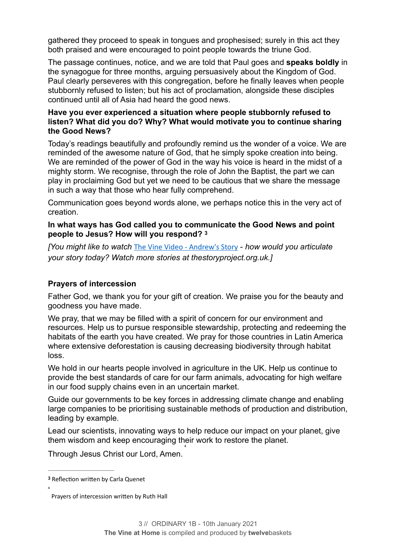gathered they proceed to speak in tongues and prophesised; surely in this act they both praised and were encouraged to point people towards the triune God.

The passage continues, notice, and we are told that Paul goes and **speaks boldly** in the synagogue for three months, arguing persuasively about the Kingdom of God. Paul clearly perseveres with this congregation, before he finally leaves when people stubbornly refused to listen; but his act of proclamation, alongside these disciples continued until all of Asia had heard the good news.

#### **Have you ever experienced a situation where people stubbornly refused to listen? What did you do? Why? What would motivate you to continue sharing the Good News?**

Today's readings beautifully and profoundly remind us the wonder of a voice. We are reminded of the awesome nature of God, that he simply spoke creation into being. We are reminded of the power of God in the way his voice is heard in the midst of a mighty storm. We recognise, through the role of John the Baptist, the part we can play in proclaiming God but yet we need to be cautious that we share the message in such a way that those who hear fully comprehend.

Communication goes beyond words alone, we perhaps notice this in the very act of creation.

#### <span id="page-3-1"></span>**In what ways has God called you to communicate the Good News and point people to Jesus? How will you respond? [3](#page-3-0)**

*[You might like to watch* [The Vine Video - Andrew's Story](https://www.theworshipcloud.com/view/store/twelvebaskets-vine-video-andrew-s-story-the-story-project-vine-video-10th-january-2021) - *how would you articulate your story today? Watch more stories at thestoryproject.org.uk.]* 

#### **Prayers of intercession**

Father God, we thank you for your gift of creation. We praise you for the beauty and goodness you have made.

We pray, that we may be filled with a spirit of concern for our environment and resources. Help us to pursue responsible stewardship, protecting and redeeming the habitats of the earth you have created. We pray for those countries in Latin America where extensive deforestation is causing decreasing biodiversity through habitat loss.

We hold in our hearts people involved in agriculture in the UK. Help us continue to provide the best standards of care for our farm animals, advocating for high welfare in our food supply chains even in an uncertain market.

Guide our governments to be key forces in addressing climate change and enabling large companies to be prioritising sustainable methods of production and distribution, leading by example.

Lead our scientists, innovating ways to help reduce our impact on your planet, give them wisdom and keep encouraging their work to restore the planet.

<span id="page-3-2"></span>4

Through Jesus Christ our Lord, Amen.

[4](#page-3-2)

<span id="page-3-0"></span><sup>&</sup>lt;sup>[3](#page-3-1)</sup> Reflection written by Carla Quenet

Prayers of intercession written by Ruth Hall